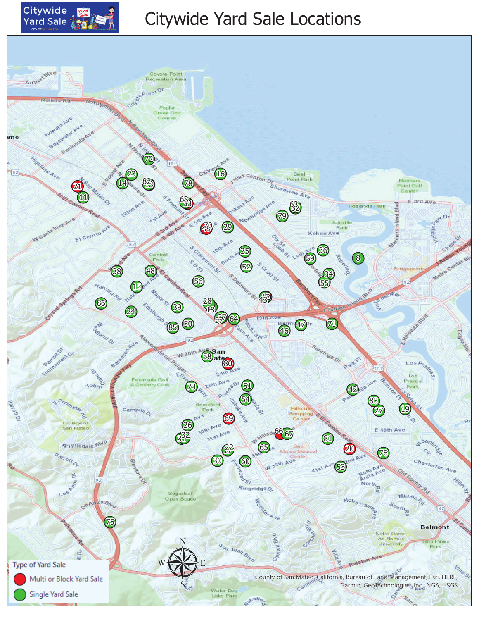

## Citywide Yard Sale Locations